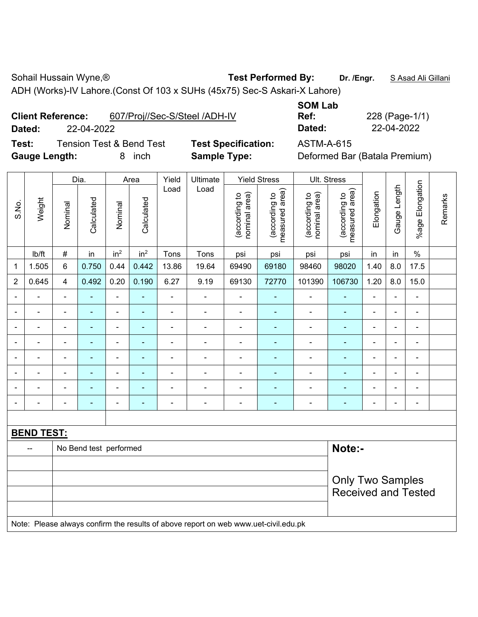Sohail Hussain Wyne,<sup>®</sup> **Test Performed By:** Dr. /Engr. **SAsad Ali Gillani** Bohail Hussain Wyne,<sup>®</sup>

ADH (Works)-IV Lahore.(Const Of 103 x SUHs (45x75) Sec-S Askari-X Lahore)

**Client Reference:** 607/Proj//Sec-S/Steel /ADH-IV

**Dated:** 22-04-2022 **Dated:** 22-04-2022

**Test:** Tension Test & Bend Test **Test Specification:** ASTM-A-615 **Gauge Length:** 8 inch **Sample Type:** Deformed Bar (Batala Premium)

**SOM Lab Ref:** 228 (Page-1/1)

|                |                                                                                     |                | Dia.           |                          | Area                     | Yield                    | Ultimate       |                                | <b>Yield Stress</b>             |                                | Ult. Stress                     |                |                          |                          |         |
|----------------|-------------------------------------------------------------------------------------|----------------|----------------|--------------------------|--------------------------|--------------------------|----------------|--------------------------------|---------------------------------|--------------------------------|---------------------------------|----------------|--------------------------|--------------------------|---------|
| S.No.          | Weight                                                                              | Nominal        | Calculated     | Nominal                  | Calculated               | Load                     | Load           | nominal area)<br>(according to | measured area)<br>(according to | nominal area)<br>(according to | measured area)<br>(according to | Elongation     | Gauge Length             | %age Elongation          | Remarks |
|                | Ib/ft                                                                               | $\#$           | in             | in <sup>2</sup>          | in <sup>2</sup>          | Tons                     | Tons           | psi                            | psi                             | psi                            | psi                             | in             | in                       | $\%$                     |         |
| $\mathbf{1}$   | 1.505                                                                               | 6              | 0.750          | 0.44                     | 0.442                    | 13.86                    | 19.64          | 69490                          | 69180                           | 98460                          | 98020                           | 1.40           | 8.0                      | 17.5                     |         |
| $\overline{2}$ | 0.645                                                                               | $\overline{4}$ | 0.492          | 0.20                     | 0.190                    | 6.27                     | 9.19           | 69130                          | 72770                           | 101390                         | 106730                          | 1.20           | $8.0\,$                  | 15.0                     |         |
|                |                                                                                     |                |                | ä,                       |                          | ä,                       | ä,             |                                |                                 | ä,                             | ۰                               | $\blacksquare$ |                          | $\blacksquare$           |         |
|                |                                                                                     |                | $\blacksquare$ | $\blacksquare$           |                          | $\blacksquare$           | ÷,             | $\blacksquare$                 |                                 | ä,                             | ä,                              |                |                          | L,                       |         |
|                |                                                                                     | $\blacksquare$ | ÷              | $\blacksquare$           | $\overline{\phantom{0}}$ | $\overline{a}$           | ÷              | $\blacksquare$                 |                                 | $\blacksquare$                 | $\blacksquare$                  | $\blacksquare$ | $\overline{a}$           | $\blacksquare$           |         |
|                |                                                                                     | $\blacksquare$ | ÷              | $\blacksquare$           | ٠                        | $\blacksquare$           | ÷              | $\blacksquare$                 | $\blacksquare$                  | $\blacksquare$                 | $\blacksquare$                  | $\blacksquare$ | $\blacksquare$           | $\overline{\phantom{a}}$ |         |
|                | $\blacksquare$                                                                      | $\blacksquare$ | $\blacksquare$ | $\blacksquare$           | ä,                       | $\frac{1}{2}$            | ÷,             | $\blacksquare$                 | ÷                               | $\overline{\phantom{a}}$       | ÷,                              | $\blacksquare$ | $\blacksquare$           | $\blacksquare$           |         |
|                | $\blacksquare$                                                                      | ۰              | ÷              | $\overline{\phantom{a}}$ | ٠                        | $\overline{\phantom{a}}$ | $\overline{a}$ | $\blacksquare$                 | ٠                               |                                | ۰                               | $\blacksquare$ | $\overline{\phantom{0}}$ | ä,                       |         |
|                |                                                                                     |                | $\blacksquare$ | $\blacksquare$           |                          |                          | $\blacksquare$ | $\blacksquare$                 | $\blacksquare$                  | $\blacksquare$                 | ۰                               |                |                          | $\blacksquare$           |         |
|                |                                                                                     | $\blacksquare$ |                | ÷                        |                          | ÷                        | ÷              | $\blacksquare$                 |                                 | -                              | ÷                               | $\blacksquare$ | $\overline{a}$           | Ē,                       |         |
|                |                                                                                     |                |                |                          |                          |                          |                |                                |                                 |                                |                                 |                |                          |                          |         |
|                | <b>BEND TEST:</b>                                                                   |                |                |                          |                          |                          |                |                                |                                 |                                |                                 |                |                          |                          |         |
|                | Note:-<br>No Bend test performed                                                    |                |                |                          |                          |                          |                |                                |                                 |                                |                                 |                |                          |                          |         |
|                |                                                                                     |                |                |                          |                          |                          |                |                                |                                 |                                |                                 |                |                          |                          |         |
|                |                                                                                     |                |                |                          |                          |                          |                | <b>Only Two Samples</b>        |                                 |                                |                                 |                |                          |                          |         |
|                |                                                                                     |                |                |                          |                          |                          |                |                                |                                 |                                | <b>Received and Tested</b>      |                |                          |                          |         |
|                | Note: Please always confirm the results of above report on web www.uet-civil.edu.pk |                |                |                          |                          |                          |                |                                |                                 |                                |                                 |                |                          |                          |         |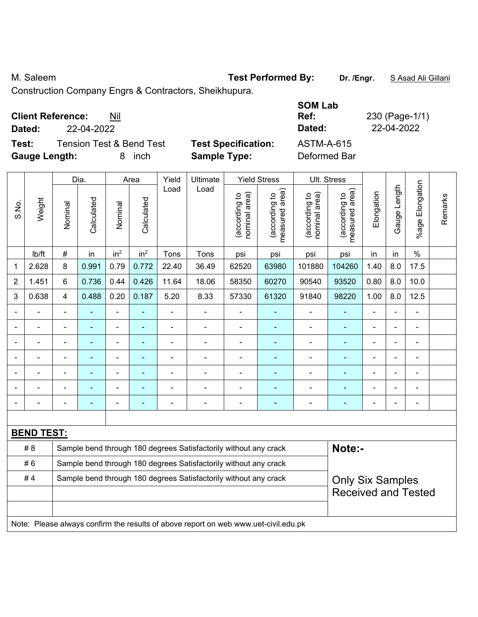M. Saleem **Test Performed By:** Dr. /Engr. **SAsad Ali Gillani** By: Dr. /Engr. **SAsad Ali Gillani** 

Construction Company Engrs & Contractors, Sheikhupura.

| <b>Client Reference:</b> | Nil |
|--------------------------|-----|
|--------------------------|-----|

**Test:** Tension Test & Bend Test **Test Specification:** ASTM-A-615 **Gauge Length:** 8 inch **Sample Type:** Deformed Bar

**SOM Lab Ref:** 230 (Page-1/1) **Dated:** 22-04-2022 **Dated:** 22-04-2022

|                |                                                                                     |                | Dia.           |                          | Area            | Yield          | <b>Ultimate</b>                                                  |                               | <b>Yield Stress</b>             |                                | Ult. Stress                     |                |              |                       |         |
|----------------|-------------------------------------------------------------------------------------|----------------|----------------|--------------------------|-----------------|----------------|------------------------------------------------------------------|-------------------------------|---------------------------------|--------------------------------|---------------------------------|----------------|--------------|-----------------------|---------|
| S.No.          | Weight                                                                              | Nominal        | Calculated     | Nominal                  | Calculated      | Load           | Load                                                             | nominal area)<br>according to | (according to<br>measured area) | (according to<br>nominal area) | (according to<br>measured area) | Elongation     | Gauge Length | Elongation<br>$%$ age | Remarks |
|                | lb/ft                                                                               | $\#$           | in             | in <sup>2</sup>          | in <sup>2</sup> | Tons           | Tons                                                             | psi                           | psi                             | psi                            | psi                             | in             | in           | $\%$                  |         |
| 1              | 2.628                                                                               | 8              | 0.991          | 0.79                     | 0.772           | 22.40          | 36.49                                                            | 62520                         | 63980                           | 101880                         | 104260                          | 1.40           | 8.0          | 17.5                  |         |
| $\overline{2}$ | 1.451                                                                               | 6              | 0.736          | 0.44                     | 0.426           | 11.64          | 18.06                                                            | 58350                         | 60270                           | 90540                          | 93520                           | 0.80           | 8.0          | 10.0                  |         |
| 3              | 0.638                                                                               | 4              | 0.488          | 0.20                     | 0.187           | 5.20           | 8.33                                                             | 57330                         | 61320                           | 91840                          | 98220                           | 1.00           | 8.0          | 12.5                  |         |
|                | $\blacksquare$                                                                      | ä,             | ÷              | $\blacksquare$           | ٠               | $\blacksquare$ | $\blacksquare$                                                   | $\blacksquare$                | ÷                               | $\overline{\phantom{a}}$       | ÷                               | $\blacksquare$ |              | $\blacksquare$        |         |
|                | $\blacksquare$                                                                      | ä,             | $\blacksquare$ | $\overline{\phantom{a}}$ | $\blacksquare$  | $\frac{1}{2}$  | $\overline{\phantom{a}}$                                         | $\overline{\phantom{a}}$      | $\blacksquare$                  | $\overline{\phantom{a}}$       | $\blacksquare$                  | $\blacksquare$ |              | $\blacksquare$        |         |
|                | $\blacksquare$                                                                      | ä,             | $\blacksquare$ | $\overline{\phantom{a}}$ | ٠               | ÷              | $\blacksquare$                                                   | Ē,                            | $\blacksquare$                  | $\blacksquare$                 | $\blacksquare$                  | $\blacksquare$ |              | $\blacksquare$        |         |
|                | $\blacksquare$                                                                      | ä,             | ÷              | $\blacksquare$           |                 | ÷              | ÷.                                                               | $\blacksquare$                |                                 | $\blacksquare$                 | $\blacksquare$                  | $\blacksquare$ |              | $\blacksquare$        |         |
|                |                                                                                     |                |                |                          |                 |                |                                                                  |                               |                                 |                                |                                 |                |              |                       |         |
|                |                                                                                     |                |                |                          |                 |                |                                                                  | Ē,                            |                                 | $\blacksquare$                 |                                 |                |              | L,                    |         |
|                |                                                                                     | $\blacksquare$ | ۰              | Ē,                       |                 | ÷              | $\blacksquare$                                                   | $\overline{\phantom{a}}$      | $\blacksquare$                  | $\overline{a}$                 | ÷                               | $\blacksquare$ |              | $\blacksquare$        |         |
|                |                                                                                     |                |                |                          |                 |                |                                                                  |                               |                                 |                                |                                 |                |              |                       |         |
|                | <b>BEND TEST:</b>                                                                   |                |                |                          |                 |                |                                                                  |                               |                                 |                                |                                 |                |              |                       |         |
|                | #8                                                                                  |                |                |                          |                 |                | Sample bend through 180 degrees Satisfactorily without any crack |                               |                                 |                                | Note:-                          |                |              |                       |         |
|                | #6<br>Sample bend through 180 degrees Satisfactorily without any crack              |                |                |                          |                 |                |                                                                  |                               |                                 |                                |                                 |                |              |                       |         |
|                | #4<br>Sample bend through 180 degrees Satisfactorily without any crack              |                |                |                          |                 |                | <b>Only Six Samples</b>                                          |                               |                                 |                                |                                 |                |              |                       |         |
|                |                                                                                     |                |                |                          |                 |                | <b>Received and Tested</b>                                       |                               |                                 |                                |                                 |                |              |                       |         |
|                |                                                                                     |                |                |                          |                 |                |                                                                  |                               |                                 |                                |                                 |                |              |                       |         |
|                | Note: Please always confirm the results of above report on web www.uet-civil.edu.pk |                |                |                          |                 |                |                                                                  |                               |                                 |                                |                                 |                |              |                       |         |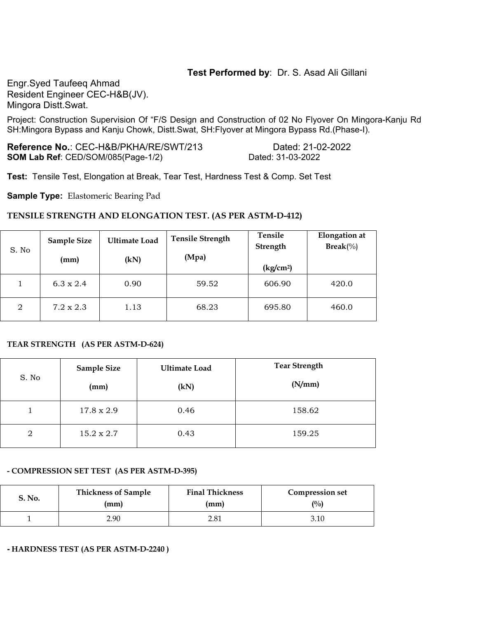## **Test Performed by**: Dr. S. Asad Ali Gillani

Engr.Syed Taufeeq Ahmad Resident Engineer CEC-H&B(JV). Mingora Distt.Swat.

Project: Construction Supervision Of "F/S Design and Construction of 02 No Flyover On Mingora-Kanju Rd SH:Mingora Bypass and Kanju Chowk, Distt.Swat, SH:Flyover at Mingora Bypass Rd.(Phase-I).

**Reference No.**: CEC-H&B/PKHA/RE/SWT/213 Dated: 21-02-2022 **SOM Lab Ref**: CED/SOM/085(Page-1/2) Dated: 31-03-2022

**Test:** Tensile Test, Elongation at Break, Tear Test, Hardness Test & Comp. Set Test

**Sample Type:** Elastomeric Bearing Pad

#### **TENSILE STRENGTH AND ELONGATION TEST. (AS PER ASTM-D-412)**

| S. No | <b>Sample Size</b><br>(mm) | <b>Ultimate Load</b><br>(kN) | <b>Tensile Strength</b><br>(Mpa) | Tensile<br>Strength<br>(kg/cm <sup>2</sup> ) | <b>Elongation</b> at<br>$\text{Break}(\%)$ |
|-------|----------------------------|------------------------------|----------------------------------|----------------------------------------------|--------------------------------------------|
|       | $6.3 \times 2.4$           | 0.90                         | 59.52                            | 606.90                                       | 420.0                                      |
| 2     | $7.2 \times 2.3$           | 1.13                         | 68.23                            | 695.80                                       | 460.0                                      |

#### **TEAR STRENGTH (AS PER ASTM-D-624)**

| S. No | Sample Size<br>(mm) | <b>Ultimate Load</b><br>(kN) | <b>Tear Strength</b><br>(N/mm) |
|-------|---------------------|------------------------------|--------------------------------|
|       | 17.8 x 2.9          | 0.46                         | 158.62                         |
| 2     | 15.2 x 2.7          | 0.43                         | 159.25                         |

#### **- COMPRESSION SET TEST (AS PER ASTM-D-395)**

| S. No. | <b>Thickness of Sample</b> | <b>Final Thickness</b> | <b>Compression set</b> |  |  |
|--------|----------------------------|------------------------|------------------------|--|--|
|        | (mm)                       | (mm)                   | $\binom{0}{0}$         |  |  |
|        | 2.90                       | 2.81                   | 3.10                   |  |  |

**- HARDNESS TEST (AS PER ASTM-D-2240 )**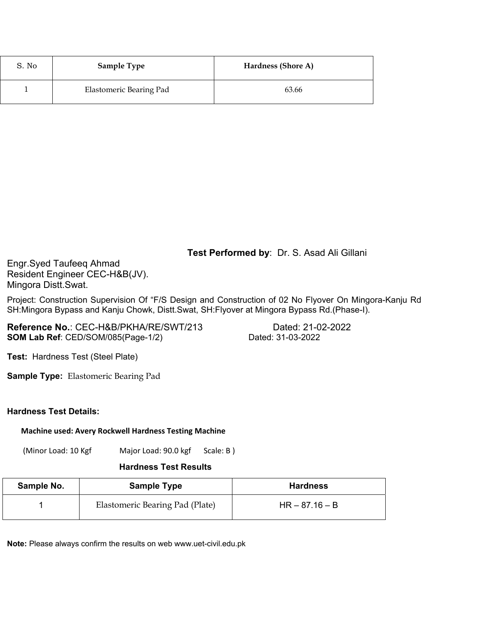| S. No | <b>Sample Type</b>      | Hardness (Shore A) |
|-------|-------------------------|--------------------|
|       | Elastomeric Bearing Pad | 63.66              |

# **Test Performed by**: Dr. S. Asad Ali Gillani

Engr.Syed Taufeeq Ahmad Resident Engineer CEC-H&B(JV). Mingora Distt.Swat.

Project: Construction Supervision Of "F/S Design and Construction of 02 No Flyover On Mingora-Kanju Rd SH:Mingora Bypass and Kanju Chowk, Distt.Swat, SH:Flyover at Mingora Bypass Rd.(Phase-I).

**Reference No.**: CEC-H&B/PKHA/RE/SWT/213 Dated: 21-02-2022 **SOM Lab Ref**: CED/SOM/085(Page-1/2) Dated: 31-03-2022

**Test:** Hardness Test (Steel Plate)

**Sample Type:** Elastomeric Bearing Pad

#### **Hardness Test Details:**

**Machine used: Avery Rockwell Hardness Testing Machine**

(Minor Load: 10 Kgf Major Load: 90.0 kgf Scale: B )

### **Hardness Test Results**

| Sample No.<br><b>Sample Type</b> |                                 | <b>Hardness</b>  |
|----------------------------------|---------------------------------|------------------|
|                                  | Elastomeric Bearing Pad (Plate) | $HR - 87.16 - B$ |

**Note:** Please always confirm the results on web www.uet-civil.edu.pk